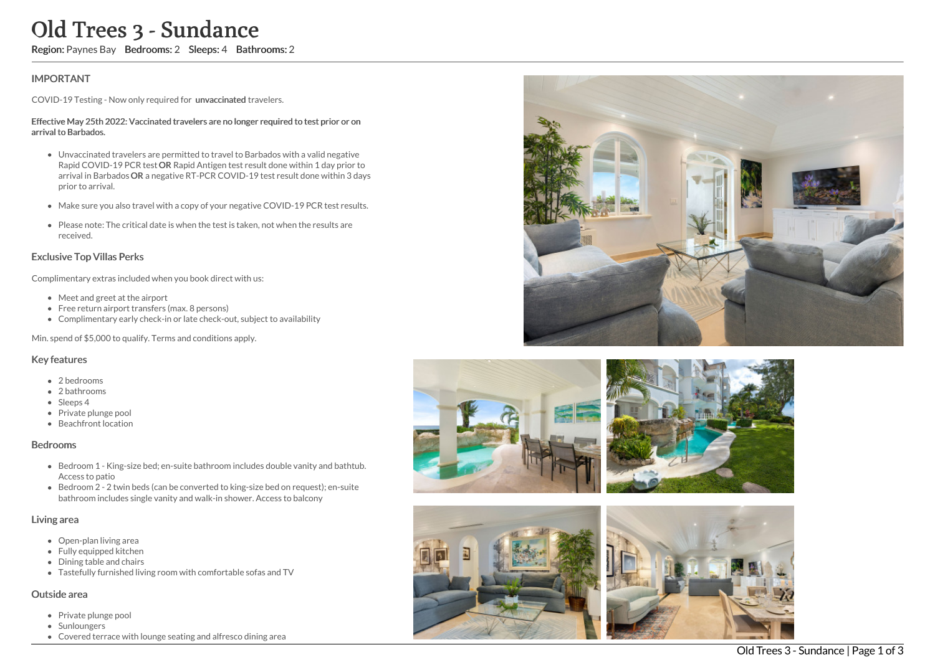# Old Trees 3 - Sundance

Region: Paynes Bay Bedrooms: 2 Sleeps: 4 Bathrooms: 2

## IMPORTANT

COVID-19 Testing - Now only required for unvaccinated travelers.

#### Effective May 25th 2022: Vaccinated travelers are no longer required to test prior or on arrival to Barbados.

- Unvaccinated travelers are permitted to travel to Barbados with a valid negative Rapid COVID-19 PCR test OR Rapid Antigen test result done within 1 day prior to arrival in Barbados OR a negative RT-PCR COVID-19 test result done within 3 days prior to arrival.
- Make sure you also travel with a copy of your negative COVID-19 PCR test results.
- Please note: The critical date is when the test is taken, not when the results are received.

## Exclusive Top Villas Perks

Complimentary extras included when you book direct with us:

- Meet and greet at the airport
- Free return airport transfers (max. 8 persons)
- Complimentary early check-in or late check-out, subject to availability

Min. spend of \$5,000 to qualify. Terms and conditions apply.

#### Key features

- 2 hedrooms
- 2 bathrooms
- Sleeps 4
- Private plunge pool
- Beachfront location

#### Bedrooms

- Bedroom 1 King-size bed; en-suite bathroom includes double vanity and bathtub. Access to patio
- Bedroom 2 2 twin beds (can be converted to king-size bed on request); en-suite bathroom includes single vanity and walk-in shower. Access to balcony

### Living area

- Open-plan living area
- Fully equipped kitchen
- Dining table and chairs
- Tastefully furnished living room with comfortable sofas and TV

#### Outside area

- Private plunge pool
- Sunloungers
- Covered terrace with lounge seating and alfresco dining area









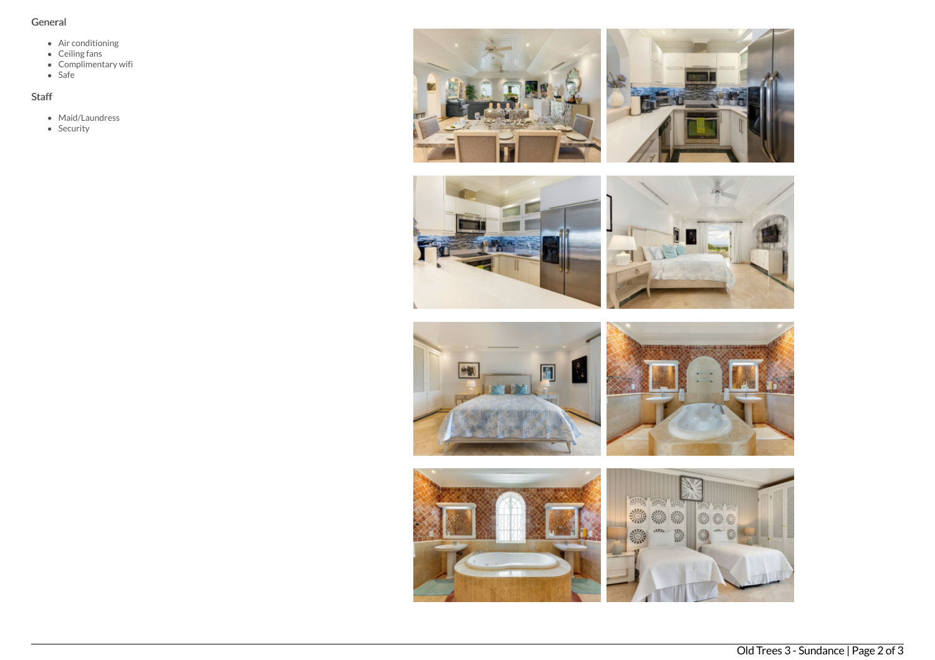# General

- Air conditioning
- Ceiling fans
- Complimentary wifi
- Safe

# Staff

- Maid/Laundress
- Security